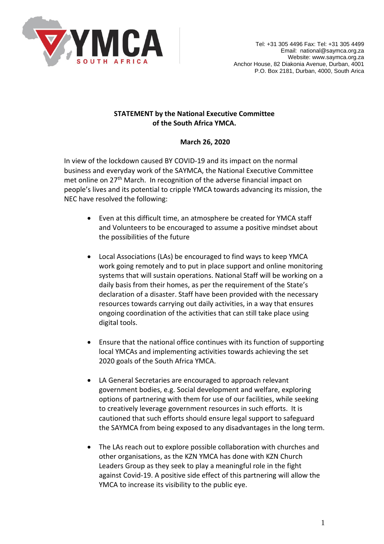

## **STATEMENT by the National Executive Committee of the South Africa YMCA.**

## **March 26, 2020**

In view of the lockdown caused BY COVID-19 and its impact on the normal business and everyday work of the SAYMCA, the National Executive Committee met online on 27<sup>th</sup> March. In recognition of the adverse financial impact on people's lives and its potential to cripple YMCA towards advancing its mission, the NEC have resolved the following:

- Even at this difficult time, an atmosphere be created for YMCA staff and Volunteers to be encouraged to assume a positive mindset about the possibilities of the future
- Local Associations (LAs) be encouraged to find ways to keep YMCA work going remotely and to put in place support and online monitoring systems that will sustain operations. National Staff will be working on a daily basis from their homes, as per the requirement of the State's declaration of a disaster. Staff have been provided with the necessary resources towards carrying out daily activities, in a way that ensures ongoing coordination of the activities that can still take place using digital tools.
- Ensure that the national office continues with its function of supporting local YMCAs and implementing activities towards achieving the set 2020 goals of the South Africa YMCA.
- LA General Secretaries are encouraged to approach relevant government bodies, e.g. Social development and welfare, exploring options of partnering with them for use of our facilities, while seeking to creatively leverage government resources in such efforts. It is cautioned that such efforts should ensure legal support to safeguard the SAYMCA from being exposed to any disadvantages in the long term.
- The LAs reach out to explore possible collaboration with churches and other organisations, as the KZN YMCA has done with KZN Church Leaders Group as they seek to play a meaningful role in the fight against Covid-19. A positive side effect of this partnering will allow the YMCA to increase its visibility to the public eye.